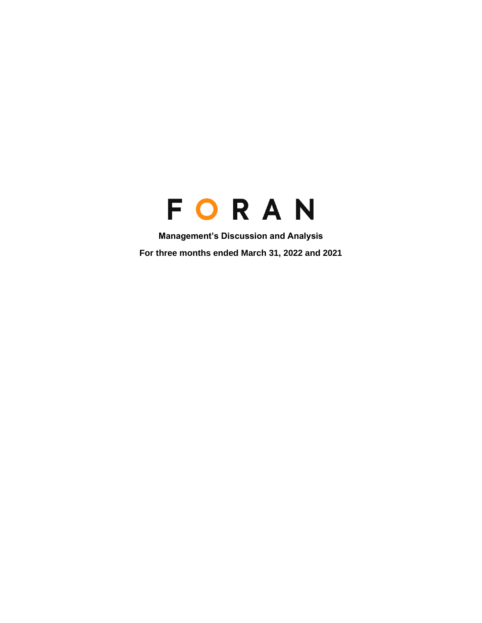# FORAN

**Management's Discussion and Analysis For three months ended March 31, 2022 and 2021**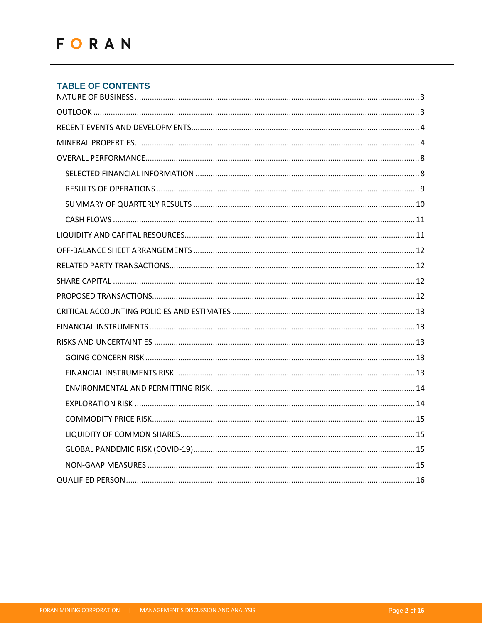# **TABLE OF CONTENTS**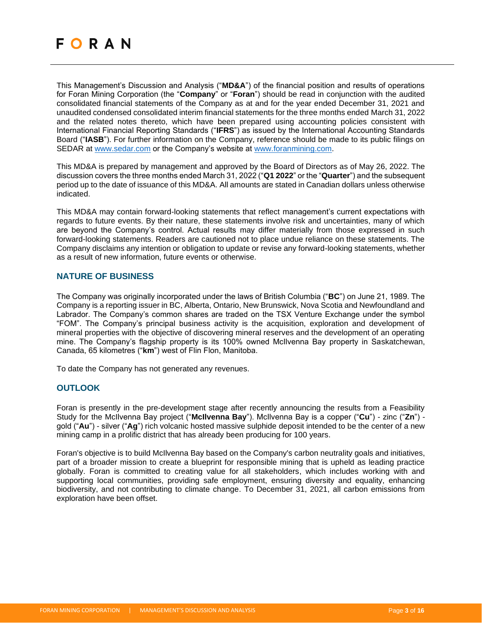This Management's Discussion and Analysis ("**MD&A**") of the financial position and results of operations for Foran Mining Corporation (the "**Company**" or "**Foran**") should be read in conjunction with the audited consolidated financial statements of the Company as at and for the year ended December 31, 2021 and unaudited condensed consolidated interim financial statements for the three months ended March 31, 2022 and the related notes thereto, which have been prepared using accounting policies consistent with International Financial Reporting Standards ("**IFRS**") as issued by the International Accounting Standards Board ("**IASB**"). For further information on the Company, reference should be made to its public filings on SEDAR at [www.sedar.com](http://www.sedar.com/) or the Company's website at [www.foranmining.com.](http://www.foranmining.com/)

This MD&A is prepared by management and approved by the Board of Directors as of May 26, 2022. The discussion covers the three months ended March 31, 2022 ("**Q1 2022**" or the "**Quarter**") and the subsequent period up to the date of issuance of this MD&A. All amounts are stated in Canadian dollars unless otherwise indicated.

This MD&A may contain forward-looking statements that reflect management's current expectations with regards to future events. By their nature, these statements involve risk and uncertainties, many of which are beyond the Company's control. Actual results may differ materially from those expressed in such forward-looking statements. Readers are cautioned not to place undue reliance on these statements. The Company disclaims any intention or obligation to update or revise any forward-looking statements, whether as a result of new information, future events or otherwise.

## <span id="page-2-0"></span>**NATURE OF BUSINESS**

The Company was originally incorporated under the laws of British Columbia ("**BC**") on June 21, 1989. The Company is a reporting issuer in BC, Alberta, Ontario, New Brunswick, Nova Scotia and Newfoundland and Labrador. The Company's common shares are traded on the TSX Venture Exchange under the symbol "FOM". The Company's principal business activity is the acquisition, exploration and development of mineral properties with the objective of discovering mineral reserves and the development of an operating mine. The Company's flagship property is its 100% owned McIlvenna Bay property in Saskatchewan, Canada, 65 kilometres ("**km**") west of Flin Flon, Manitoba.

<span id="page-2-1"></span>To date the Company has not generated any revenues.

# **OUTLOOK**

Foran is presently in the pre-development stage after recently announcing the results from a Feasibility Study for the McIlvenna Bay project ("**McIlvenna Bay**"). McIlvenna Bay is a copper ("**Cu**") - zinc ("**Zn**") gold ("**Au**") - silver ("**Ag**") rich volcanic hosted massive sulphide deposit intended to be the center of a new mining camp in a prolific district that has already been producing for 100 years.

Foran's objective is to build McIlvenna Bay based on the Company's carbon neutrality goals and initiatives, part of a broader mission to create a blueprint for responsible mining that is upheld as leading practice globally. Foran is committed to creating value for all stakeholders, which includes working with and supporting local communities, providing safe employment, ensuring diversity and equality, enhancing biodiversity, and not contributing to climate change. To December 31, 2021, all carbon emissions from exploration have been offset.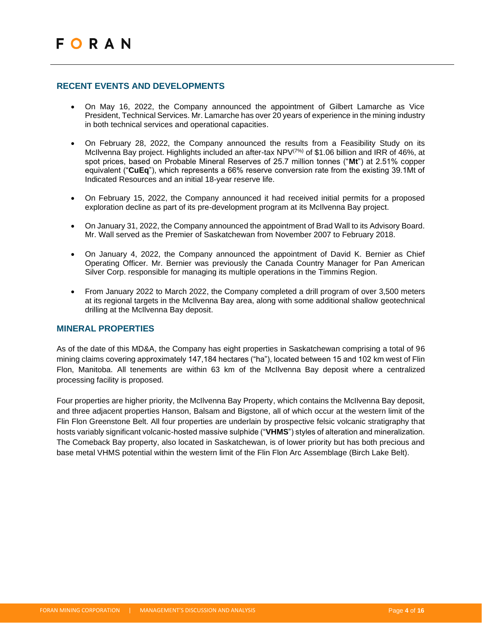## <span id="page-3-0"></span>**RECENT EVENTS AND DEVELOPMENTS**

- On May 16, 2022, the Company announced the appointment of Gilbert Lamarche as Vice President, Technical Services. Mr. Lamarche has over 20 years of experience in the mining industry in both technical services and operational capacities.
- On February 28, 2022, the Company announced the results from a Feasibility Study on its McIlvenna Bay project. Highlights included an after-tax NPV(7%) of \$1.06 billion and IRR of 46%, at spot prices, based on Probable Mineral Reserves of 25.7 million tonnes ("**Mt**") at 2.51% copper equivalent ("**CuEq**"), which represents a 66% reserve conversion rate from the existing 39.1Mt of Indicated Resources and an initial 18-year reserve life.
- On February 15, 2022, the Company announced it had received initial permits for a proposed exploration decline as part of its pre-development program at its McIlvenna Bay project.
- On January 31, 2022, the Company announced the appointment of Brad Wall to its Advisory Board. Mr. Wall served as the Premier of Saskatchewan from November 2007 to February 2018.
- On January 4, 2022, the Company announced the appointment of David K. Bernier as Chief Operating Officer. Mr. Bernier was previously the Canada Country Manager for Pan American Silver Corp. responsible for managing its multiple operations in the Timmins Region.
- From January 2022 to March 2022, the Company completed a drill program of over 3,500 meters at its regional targets in the McIlvenna Bay area, along with some additional shallow geotechnical drilling at the McIlvenna Bay deposit.

## <span id="page-3-1"></span>**MINERAL PROPERTIES**

As of the date of this MD&A, the Company has eight properties in Saskatchewan comprising a total of 96 mining claims covering approximately 147,184 hectares ("ha"), located between 15 and 102 km west of Flin Flon, Manitoba. All tenements are within 63 km of the McIlvenna Bay deposit where a centralized processing facility is proposed.

Four properties are higher priority, the McIlvenna Bay Property, which contains the McIlvenna Bay deposit, and three adjacent properties Hanson, Balsam and Bigstone, all of which occur at the western limit of the Flin Flon Greenstone Belt. All four properties are underlain by prospective felsic volcanic stratigraphy that hosts variably significant volcanic-hosted massive sulphide ("**VHMS**") styles of alteration and mineralization. The Comeback Bay property, also located in Saskatchewan, is of lower priority but has both precious and base metal VHMS potential within the western limit of the Flin Flon Arc Assemblage (Birch Lake Belt).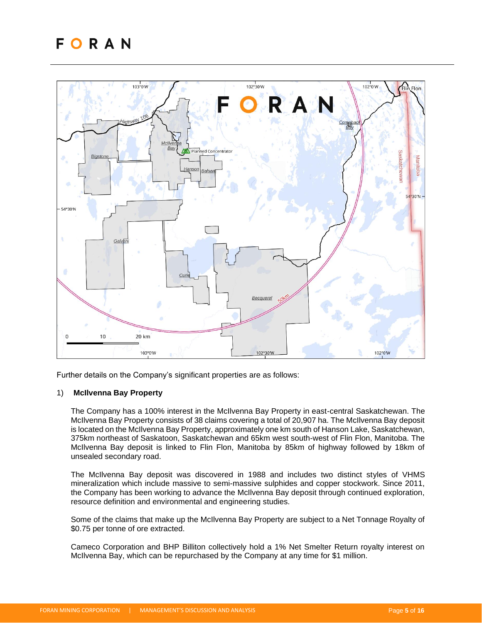

Further details on the Company's significant properties are as follows:

#### 1) **McIlvenna Bay Property**

The Company has a 100% interest in the McIlvenna Bay Property in east-central Saskatchewan. The McIlvenna Bay Property consists of 38 claims covering a total of 20,907 ha. The McIlvenna Bay deposit is located on the McIlvenna Bay Property, approximately one km south of Hanson Lake, Saskatchewan, 375km northeast of Saskatoon, Saskatchewan and 65km west south-west of Flin Flon, Manitoba. The McIlvenna Bay deposit is linked to Flin Flon, Manitoba by 85km of highway followed by 18km of unsealed secondary road.

The McIlvenna Bay deposit was discovered in 1988 and includes two distinct styles of VHMS mineralization which include massive to semi-massive sulphides and copper stockwork. Since 2011, the Company has been working to advance the McIlvenna Bay deposit through continued exploration, resource definition and environmental and engineering studies.

Some of the claims that make up the McIlvenna Bay Property are subject to a Net Tonnage Royalty of \$0.75 per tonne of ore extracted.

Cameco Corporation and BHP Billiton collectively hold a 1% Net Smelter Return royalty interest on McIlvenna Bay, which can be repurchased by the Company at any time for \$1 million.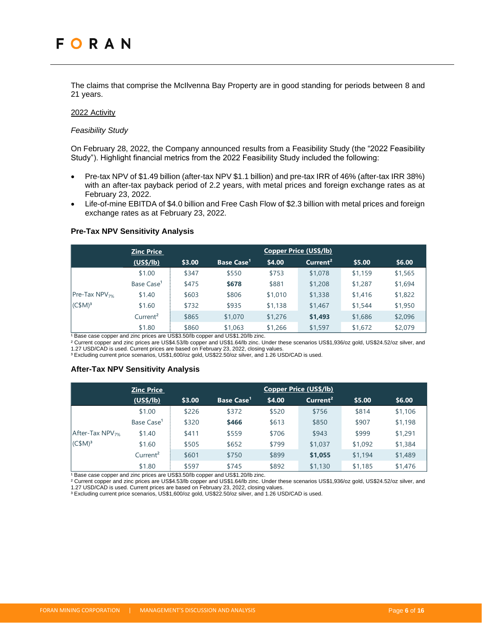The claims that comprise the McIlvenna Bay Property are in good standing for periods between 8 and 21 years.

#### 2022 Activity

#### *Feasibility Study*

On February 28, 2022, the Company announced results from a Feasibility Study (the "2022 Feasibility Study"). Highlight financial metrics from the 2022 Feasibility Study included the following:

- Pre-tax NPV of \$1.49 billion (after-tax NPV \$1.1 billion) and pre-tax IRR of 46% (after-tax IRR 38%) with an after-tax payback period of 2.2 years, with metal prices and foreign exchange rates as at February 23, 2022.
- Life-of-mine EBITDA of \$4.0 billion and Free Cash Flow of \$2.3 billion with metal prices and foreign exchange rates as at February 23, 2022.

#### **Pre-Tax NPV Sensitivity Analysis**

|                                                      | <b>Zinc Price</b>      |        |                              | <b>Copper Price (US\$/lb)</b> |                      |         |         |
|------------------------------------------------------|------------------------|--------|------------------------------|-------------------------------|----------------------|---------|---------|
|                                                      | (US\$/lb)              | \$3.00 | <b>Base Case<sup>1</sup></b> | \$4.00                        | Current <sup>2</sup> | \$5.00  | \$6.00  |
| $ Pre-Tax NPV_{7\%} $<br>$\vert$ (C\$M) <sup>3</sup> | \$1.00                 | \$347  | \$550                        | \$753                         | \$1,078              | \$1,159 | \$1,565 |
|                                                      | Base Case <sup>1</sup> | \$475  | \$678                        | \$881                         | \$1,208              | \$1,287 | \$1,694 |
|                                                      | \$1.40                 | \$603  | \$806                        | \$1,010                       | \$1,338              | \$1,416 | \$1,822 |
|                                                      | \$1.60                 | \$732  | \$935                        | \$1,138                       | \$1,467              | \$1,544 | \$1,950 |
|                                                      | Current <sup>2</sup>   | \$865  | \$1,070                      | \$1,276                       | \$1,493              | \$1,686 | \$2,096 |
|                                                      | \$1.80                 | \$860  | \$1,063<br>$\blacksquare$    | \$1,266                       | \$1,597              | \$1,672 | \$2,079 |

Base case copper and zinc prices are US\$3.50/lb copper and US\$1.20/lb zinc.

² Current copper and zinc prices are US\$4.53/lb copper and US\$1.64/lb zinc. Under these scenarios US\$1,936/oz gold, US\$24.52/oz silver, and 1.27 USD/CAD is used. Current prices are based on February 23, 2022, closing values.

<sup>3</sup> Excluding current price scenarios, US\$1,600/oz gold, US\$22.50/oz silver, and 1.26 USD/CAD is used.

#### **After-Tax NPV Sensitivity Analysis**

|                       | <b>Zinc Price</b>      |        |                        |        | <b>Copper Price (US\$/lb)</b> |         |         |
|-----------------------|------------------------|--------|------------------------|--------|-------------------------------|---------|---------|
|                       | (US\$/lb)              | \$3.00 | Base Case <sup>1</sup> | \$4.00 | Current <sup>2</sup>          | \$5.00  | \$6.00  |
|                       | \$1.00                 | \$226  | \$372                  | \$520  | \$756                         | \$814   | \$1,106 |
|                       | Base Case <sup>1</sup> | \$320  | \$466                  | \$613  | \$850                         | \$907   | \$1,198 |
| After-Tax $NPV_{7\%}$ | \$1.40                 | \$411  | \$559                  | \$706  | \$943                         | \$999   | \$1,291 |
| (C\$M) <sup>3</sup>   | \$1.60                 | \$505  | \$652                  | \$799  | \$1,037                       | \$1,092 | \$1,384 |
|                       | Current <sup>2</sup>   | \$601  | \$750                  | \$899  | \$1,055                       | \$1,194 | \$1,489 |
|                       | \$1.80                 | \$597  | \$745                  | \$892  | \$1,130                       | \$1,185 | \$1,476 |

Base case copper and zinc prices are US\$3.50/lb copper and US\$1.20/lb zinc.

² Current copper and zinc prices are US\$4.53/lb copper and US\$1.64/lb zinc. Under these scenarios US\$1,936/oz gold, US\$24.52/oz silver, and 1.27 USD/CAD is used. Current prices are based on February 23, 2022, closing values.

³ Excluding current price scenarios, US\$1,600/oz gold, US\$22.50/oz silver, and 1.26 USD/CAD is used.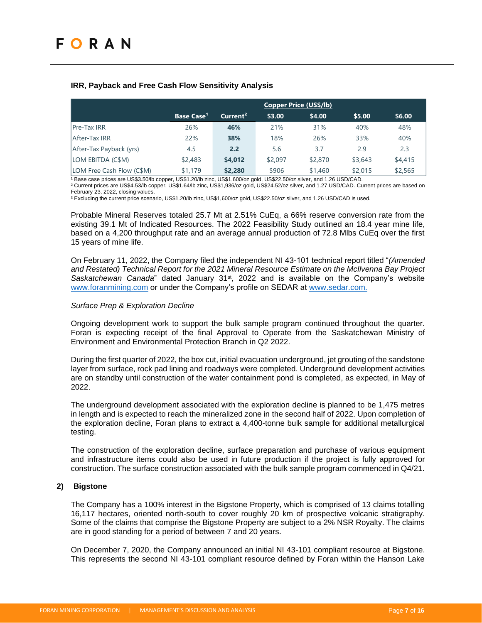## **IRR, Payback and Free Cash Flow Sensitivity Analysis**

|                           |                              |                      |         | <b>Copper Price (US\$/lb)</b> |         |         |
|---------------------------|------------------------------|----------------------|---------|-------------------------------|---------|---------|
|                           | <b>Base Case<sup>1</sup></b> | Current <sup>2</sup> | \$3.00  | \$4.00                        | \$5.00  | \$6.00  |
| <b>Pre-Tax IRR</b>        | 26%                          | 46%                  | 21%     | 31%                           | 40%     | 48%     |
| After-Tax IRR             | 22%                          | 38%                  | 18%     | 26%                           | 33%     | 40%     |
| After-Tax Payback (yrs)   | 4.5                          | 2.2                  | 5.6     | 3.7                           | 2.9     | 2.3     |
| LOM EBITDA (C\$M)         | \$2,483                      | \$4,012              | \$2,097 | \$2,870                       | \$3,643 | \$4,415 |
| LOM Free Cash Flow (C\$M) | \$1,179                      | \$2,280              | \$906   | \$1,460                       | \$2,015 | \$2,565 |

1 Base case prices are US\$3.50/lb copper, US\$1.20/lb zinc, US\$1,600/oz gold, US\$22.50/oz silver, and 1.26 USD/CAD. ² Current prices are US\$4.53/lb copper, US\$1.64/lb zinc, US\$1,936/oz gold, US\$24.52/oz silver, and 1.27 USD/CAD. Current prices are based on February 23, 2022, closing values.

³ Excluding the current price scenario, US\$1.20/lb zinc, US\$1,600/oz gold, US\$22.50/oz silver, and 1.26 USD/CAD is used.

Probable Mineral Reserves totaled 25.7 Mt at 2.51% CuEq, a 66% reserve conversion rate from the existing 39.1 Mt of Indicated Resources. The 2022 Feasibility Study outlined an 18.4 year mine life, based on a 4,200 throughput rate and an average annual production of 72.8 Mlbs CuEq over the first 15 years of mine life.

On February 11, 2022, the Company filed the independent NI 43-101 technical report titled "*(Amended and Restated) Technical Report for the 2021 Mineral Resource Estimate on the McIlvenna Bay Project Saskatchewan Canada*" dated January 31st, 2022 and is available on the Company's website [www.foranmining.com](http://www.foranmining.com/) or under the Company's profile on SEDAR at [www.sedar.com.](http://www.sedar.com/)

#### *Surface Prep & Exploration Decline*

Ongoing development work to support the bulk sample program continued throughout the quarter. Foran is expecting receipt of the final Approval to Operate from the Saskatchewan Ministry of Environment and Environmental Protection Branch in Q2 2022.

During the first quarter of 2022, the box cut, initial evacuation underground, jet grouting of the sandstone layer from surface, rock pad lining and roadways were completed. Underground development activities are on standby until construction of the water containment pond is completed, as expected, in May of 2022.

The underground development associated with the exploration decline is planned to be 1,475 metres in length and is expected to reach the mineralized zone in the second half of 2022. Upon completion of the exploration decline, Foran plans to extract a 4,400-tonne bulk sample for additional metallurgical testing.

The construction of the exploration decline, surface preparation and purchase of various equipment and infrastructure items could also be used in future production if the project is fully approved for construction. The surface construction associated with the bulk sample program commenced in Q4/21.

#### **2) Bigstone**

The Company has a 100% interest in the Bigstone Property, which is comprised of 13 claims totalling 16,117 hectares, oriented north-south to cover roughly 20 km of prospective volcanic stratigraphy. Some of the claims that comprise the Bigstone Property are subject to a 2% NSR Royalty. The claims are in good standing for a period of between 7 and 20 years.

On December 7, 2020, the Company announced an initial NI 43-101 compliant resource at Bigstone. This represents the second NI 43-101 compliant resource defined by Foran within the Hanson Lake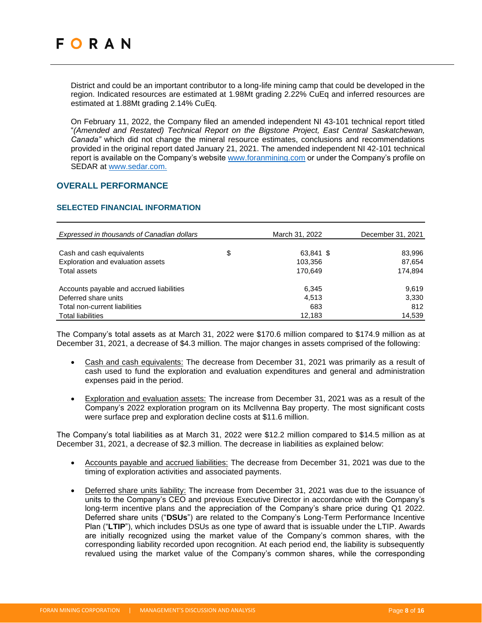District and could be an important contributor to a long-life mining camp that could be developed in the region. Indicated resources are estimated at 1.98Mt grading 2.22% CuEq and inferred resources are estimated at 1.88Mt grading 2.14% CuEq.

On February 11, 2022, the Company filed an amended independent NI 43-101 technical report titled "*(Amended and Restated) Technical Report on the Bigstone Project, East Central Saskatchewan, Canada"* which did not change the mineral resource estimates, conclusions and recommendations provided in the original report dated January 21, 2021. The amended independent NI 42-101 technical report is available on the Company's website [www.foranmining.com](http://www.foranmining.com/) or under the Company's profile on SEDAR at [www.sedar.com.](http://www.sedar.com/)

## <span id="page-7-0"></span>**OVERALL PERFORMANCE**

## <span id="page-7-1"></span>**SELECTED FINANCIAL INFORMATION**

| Expressed in thousands of Canadian dollars | March 31, 2022  | December 31, 2021 |
|--------------------------------------------|-----------------|-------------------|
|                                            |                 |                   |
| Cash and cash equivalents                  | \$<br>63,841 \$ | 83,996            |
| Exploration and evaluation assets          | 103.356         | 87,654            |
| Total assets                               | 170.649         | 174,894           |
| Accounts payable and accrued liabilities   | 6,345           | 9.619             |
| Deferred share units                       | 4.513           | 3,330             |
| Total non-current liabilities              | 683             | 812               |
| <b>Total liabilities</b>                   | 12,183          | 14,539            |

The Company's total assets as at March 31, 2022 were \$170.6 million compared to \$174.9 million as at December 31, 2021, a decrease of \$4.3 million. The major changes in assets comprised of the following:

- Cash and cash equivalents: The decrease from December 31, 2021 was primarily as a result of cash used to fund the exploration and evaluation expenditures and general and administration expenses paid in the period.
- Exploration and evaluation assets: The increase from December 31, 2021 was as a result of the Company's 2022 exploration program on its McIlvenna Bay property. The most significant costs were surface prep and exploration decline costs at \$11.6 million.

The Company's total liabilities as at March 31, 2022 were \$12.2 million compared to \$14.5 million as at December 31, 2021, a decrease of \$2.3 million. The decrease in liabilities as explained below:

- Accounts payable and accrued liabilities: The decrease from December 31, 2021 was due to the timing of exploration activities and associated payments.
- Deferred share units liability: The increase from December 31, 2021 was due to the issuance of units to the Company's CEO and previous Executive Director in accordance with the Company's long-term incentive plans and the appreciation of the Company's share price during Q1 2022. Deferred share units ("**DSUs**") are related to the Company's Long-Term Performance Incentive Plan ("**LTIP**"), which includes DSUs as one type of award that is issuable under the LTIP. Awards are initially recognized using the market value of the Company's common shares, with the corresponding liability recorded upon recognition. At each period end, the liability is subsequently revalued using the market value of the Company's common shares, while the corresponding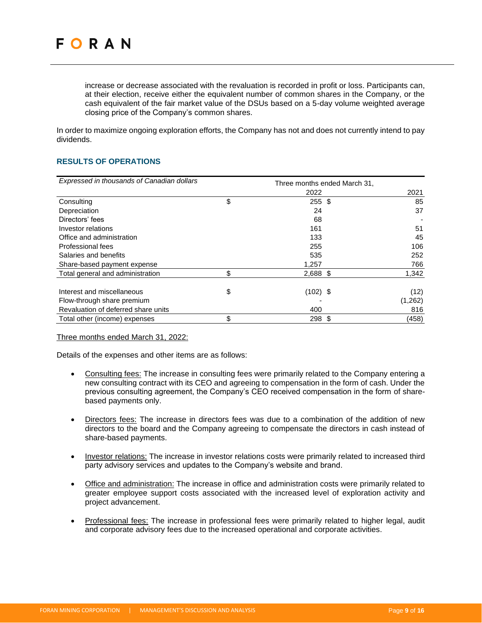increase or decrease associated with the revaluation is recorded in profit or loss. Participants can, at their election, receive either the equivalent number of common shares in the Company, or the cash equivalent of the fair market value of the DSUs based on a 5-day volume weighted average closing price of the Company's common shares.

In order to maximize ongoing exploration efforts, the Company has not and does not currently intend to pay dividends.

## <span id="page-8-0"></span>**RESULTS OF OPERATIONS**

| Expressed in thousands of Canadian dollars | Three months ended March 31, |         |
|--------------------------------------------|------------------------------|---------|
|                                            | 2022                         | 2021    |
| Consulting                                 | \$<br>255S                   | 85      |
| Depreciation                               | 24                           | 37      |
| Directors' fees                            | 68                           |         |
| Investor relations                         | 161                          | 51      |
| Office and administration                  | 133                          | 45      |
| Professional fees                          | 255                          | 106     |
| Salaries and benefits                      | 535                          | 252     |
| Share-based payment expense                | 1,257                        | 766     |
| Total general and administration           | \$<br>2,688 \$               | 1,342   |
| Interest and miscellaneous                 | \$<br>$(102)$ \$             | (12)    |
| Flow-through share premium                 |                              | (1,262) |
| Revaluation of deferred share units        | 400                          | 816     |
| Total other (income) expenses              | \$<br>298<br>\$              | (458)   |

Three months ended March 31, 2022:

Details of the expenses and other items are as follows:

- Consulting fees: The increase in consulting fees were primarily related to the Company entering a new consulting contract with its CEO and agreeing to compensation in the form of cash. Under the previous consulting agreement, the Company's CEO received compensation in the form of sharebased payments only.
- Directors fees: The increase in directors fees was due to a combination of the addition of new directors to the board and the Company agreeing to compensate the directors in cash instead of share-based payments.
- Investor relations: The increase in investor relations costs were primarily related to increased third party advisory services and updates to the Company's website and brand.
- Office and administration: The increase in office and administration costs were primarily related to greater employee support costs associated with the increased level of exploration activity and project advancement.
- Professional fees: The increase in professional fees were primarily related to higher legal, audit and corporate advisory fees due to the increased operational and corporate activities.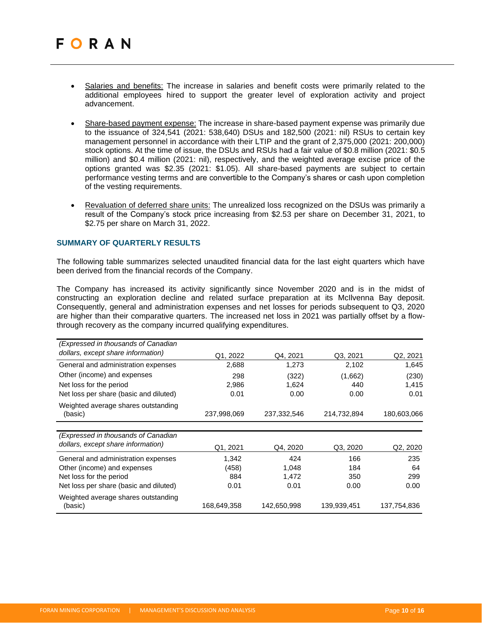- Salaries and benefits: The increase in salaries and benefit costs were primarily related to the additional employees hired to support the greater level of exploration activity and project advancement.
- Share-based payment expense: The increase in share-based payment expense was primarily due to the issuance of 324,541 (2021: 538,640) DSUs and 182,500 (2021: nil) RSUs to certain key management personnel in accordance with their LTIP and the grant of 2,375,000 (2021: 200,000) stock options. At the time of issue, the DSUs and RSUs had a fair value of \$0.8 million (2021: \$0.5 million) and \$0.4 million (2021: nil), respectively, and the weighted average excise price of the options granted was \$2.35 (2021: \$1.05). All share-based payments are subject to certain performance vesting terms and are convertible to the Company's shares or cash upon completion of the vesting requirements.
- Revaluation of deferred share units: The unrealized loss recognized on the DSUs was primarily a result of the Company's stock price increasing from \$2.53 per share on December 31, 2021, to \$2.75 per share on March 31, 2022.

#### <span id="page-9-0"></span>**SUMMARY OF QUARTERLY RESULTS**

The following table summarizes selected unaudited financial data for the last eight quarters which have been derived from the financial records of the Company.

The Company has increased its activity significantly since November 2020 and is in the midst of constructing an exploration decline and related surface preparation at its McIlvenna Bay deposit. Consequently, general and administration expenses and net losses for periods subsequent to Q3, 2020 are higher than their comparative quarters. The increased net loss in 2021 was partially offset by a flowthrough recovery as the company incurred qualifying expenditures.

| (Expressed in thousands of Canadian            |             |             |             |                                   |
|------------------------------------------------|-------------|-------------|-------------|-----------------------------------|
| dollars, except share information)             | Q1, 2022    | Q4, 2021    | Q3, 2021    | Q2, 2021                          |
| General and administration expenses            | 2,688       | 1,273       | 2,102       | 1,645                             |
| Other (income) and expenses                    | 298         | (322)       | (1,662)     | (230)                             |
| Net loss for the period                        | 2,986       | 1,624       | 440         | 1,415                             |
| Net loss per share (basic and diluted)         | 0.01        | 0.00        | 0.00        | 0.01                              |
| Weighted average shares outstanding<br>(basic) | 237,998,069 | 237,332,546 | 214,732,894 | 180,603,066                       |
|                                                |             |             |             |                                   |
| (Expressed in thousands of Canadian            |             |             |             |                                   |
| dollars, except share information)             | Q1, 2021    | Q4, 2020    | Q3, 2020    | Q <sub>2</sub> , 20 <sub>20</sub> |
| General and administration expenses            | 1,342       | 424         | 166         | 235                               |
| Other (income) and expenses                    | (458)       | 1,048       | 184         | 64                                |
| Net loss for the period                        | 884         | 1,472       | 350         | 299                               |
| Net loss per share (basic and diluted)         | 0.01        | 0.01        | 0.00        | 0.00                              |
| Weighted average shares outstanding<br>(basic) | 168,649,358 | 142,650,998 | 139,939,451 | 137,754,836                       |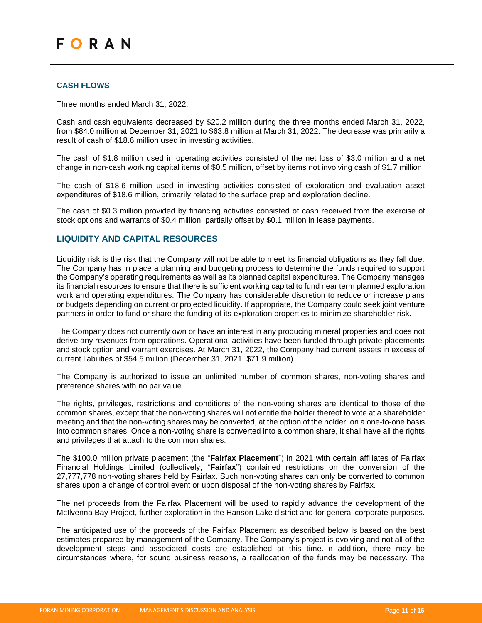#### <span id="page-10-0"></span>**CASH FLOWS**

#### Three months ended March 31, 2022:

Cash and cash equivalents decreased by \$20.2 million during the three months ended March 31, 2022, from \$84.0 million at December 31, 2021 to \$63.8 million at March 31, 2022. The decrease was primarily a result of cash of \$18.6 million used in investing activities.

The cash of \$1.8 million used in operating activities consisted of the net loss of \$3.0 million and a net change in non-cash working capital items of \$0.5 million, offset by items not involving cash of \$1.7 million.

The cash of \$18.6 million used in investing activities consisted of exploration and evaluation asset expenditures of \$18.6 million, primarily related to the surface prep and exploration decline.

The cash of \$0.3 million provided by financing activities consisted of cash received from the exercise of stock options and warrants of \$0.4 million, partially offset by \$0.1 million in lease payments.

## <span id="page-10-1"></span>**LIQUIDITY AND CAPITAL RESOURCES**

Liquidity risk is the risk that the Company will not be able to meet its financial obligations as they fall due. The Company has in place a planning and budgeting process to determine the funds required to support the Company's operating requirements as well as its planned capital expenditures. The Company manages its financial resources to ensure that there is sufficient working capital to fund near term planned exploration work and operating expenditures. The Company has considerable discretion to reduce or increase plans or budgets depending on current or projected liquidity. If appropriate, the Company could seek joint venture partners in order to fund or share the funding of its exploration properties to minimize shareholder risk.

The Company does not currently own or have an interest in any producing mineral properties and does not derive any revenues from operations. Operational activities have been funded through private placements and stock option and warrant exercises. At March 31, 2022, the Company had current assets in excess of current liabilities of \$54.5 million (December 31, 2021: \$71.9 million).

The Company is authorized to issue an unlimited number of common shares, non-voting shares and preference shares with no par value.

The rights, privileges, restrictions and conditions of the non-voting shares are identical to those of the common shares, except that the non-voting shares will not entitle the holder thereof to vote at a shareholder meeting and that the non-voting shares may be converted, at the option of the holder, on a one-to-one basis into common shares. Once a non-voting share is converted into a common share, it shall have all the rights and privileges that attach to the common shares.

The \$100.0 million private placement (the "**Fairfax Placement**") in 2021 with certain affiliates of Fairfax Financial Holdings Limited (collectively, "**Fairfax**") contained restrictions on the conversion of the 27,777,778 non-voting shares held by Fairfax. Such non-voting shares can only be converted to common shares upon a change of control event or upon disposal of the non-voting shares by Fairfax.

The net proceeds from the Fairfax Placement will be used to rapidly advance the development of the McIlvenna Bay Project, further exploration in the Hanson Lake district and for general corporate purposes.

The anticipated use of the proceeds of the Fairfax Placement as described below is based on the best estimates prepared by management of the Company. The Company's project is evolving and not all of the development steps and associated costs are established at this time. In addition, there may be circumstances where, for sound business reasons, a reallocation of the funds may be necessary. The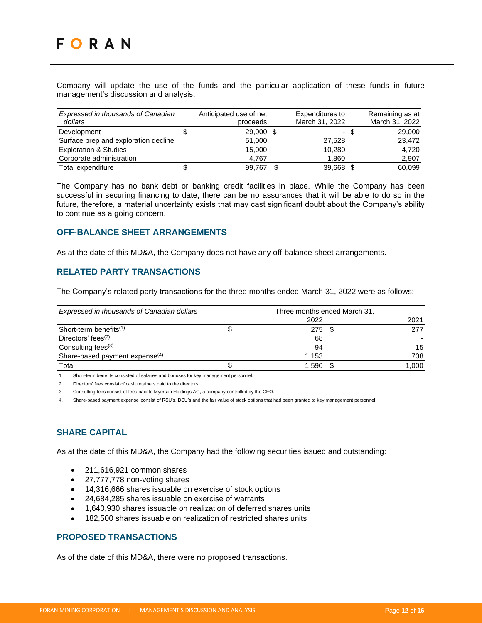Company will update the use of the funds and the particular application of these funds in future management's discussion and analysis.

| Expressed in thousands of Canadian<br>dollars |   | Anticipated use of net<br>proceeds | Expenditures to<br>March 31, 2022 |      | Remaining as at<br>March 31, 2022 |
|-----------------------------------------------|---|------------------------------------|-----------------------------------|------|-----------------------------------|
| Development                                   | Ъ | 29,000 \$                          |                                   | - \$ | 29,000                            |
| Surface prep and exploration decline          |   | 51,000                             | 27.528                            |      | 23.472                            |
| <b>Exploration &amp; Studies</b>              |   | 15.000                             | 10,280                            |      | 4.720                             |
| Corporate administration                      |   | 4,767                              | 1,860                             |      | 2,907                             |
| Total expenditure                             |   | 99,767                             | 39,668 \$                         |      | 60,099                            |

The Company has no bank debt or banking credit facilities in place. While the Company has been successful in securing financing to date, there can be no assurances that it will be able to do so in the future, therefore, a material uncertainty exists that may cast significant doubt about the Company's ability to continue as a going concern.

## <span id="page-11-0"></span>**OFF-BALANCE SHEET ARRANGEMENTS**

<span id="page-11-1"></span>As at the date of this MD&A, the Company does not have any off-balance sheet arrangements.

## **RELATED PARTY TRANSACTIONS**

The Company's related party transactions for the three months ended March 31, 2022 were as follows:

| Expressed in thousands of Canadian dollars | Three months ended March 31, |       |
|--------------------------------------------|------------------------------|-------|
|                                            | 2022                         | 2021  |
| Short-term benefits $(1)$                  | 275                          | 277   |
| Directors' fees $(2)$                      | 68                           |       |
| Consulting fees <sup>(3)</sup>             | 94                           | 15    |
| Share-based payment expense <sup>(4)</sup> | 1.153                        | 708   |
| Total                                      | 1.590                        | 1,000 |

1. Short-term benefits consisted of salaries and bonuses for key management personnel.

2. Directors' fees consist of cash retainers paid to the directors.

3. Consulting fees consist of fees paid to Myerson Holdings AG, a company controlled by the CEO.

4. Share-based payment expense consist of RSU's, DSU's and the fair value of stock options that had been granted to key management personnel.

# <span id="page-11-2"></span>**SHARE CAPITAL**

As at the date of this MD&A, the Company had the following securities issued and outstanding:

- 211,616,921 common shares
- 27,777,778 non-voting shares
- 14,316,666 shares issuable on exercise of stock options
- 24,684,285 shares issuable on exercise of warrants
- 1,640,930 shares issuable on realization of deferred shares units
- 182,500 shares issuable on realization of restricted shares units

# <span id="page-11-3"></span>**PROPOSED TRANSACTIONS**

As of the date of this MD&A, there were no proposed transactions.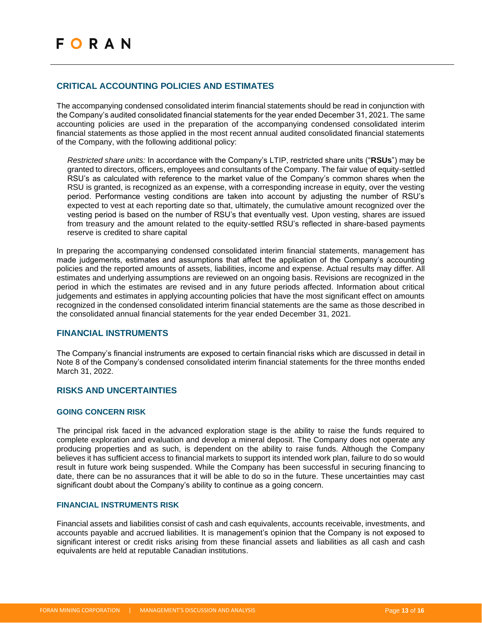## <span id="page-12-0"></span>**CRITICAL ACCOUNTING POLICIES AND ESTIMATES**

The accompanying condensed consolidated interim financial statements should be read in conjunction with the Company's audited consolidated financial statements for the year ended December 31, 2021. The same accounting policies are used in the preparation of the accompanying condensed consolidated interim financial statements as those applied in the most recent annual audited consolidated financial statements of the Company, with the following additional policy:

*Restricted share units:* In accordance with the Company's LTIP, restricted share units ("**RSUs**") may be granted to directors, officers, employees and consultants of the Company. The fair value of equity-settled RSU's as calculated with reference to the market value of the Company's common shares when the RSU is granted, is recognized as an expense, with a corresponding increase in equity, over the vesting period. Performance vesting conditions are taken into account by adjusting the number of RSU's expected to vest at each reporting date so that, ultimately, the cumulative amount recognized over the vesting period is based on the number of RSU's that eventually vest. Upon vesting, shares are issued from treasury and the amount related to the equity-settled RSU's reflected in share-based payments reserve is credited to share capital

In preparing the accompanying condensed consolidated interim financial statements, management has made judgements, estimates and assumptions that affect the application of the Company's accounting policies and the reported amounts of assets, liabilities, income and expense. Actual results may differ. All estimates and underlying assumptions are reviewed on an ongoing basis. Revisions are recognized in the period in which the estimates are revised and in any future periods affected. Information about critical judgements and estimates in applying accounting policies that have the most significant effect on amounts recognized in the condensed consolidated interim financial statements are the same as those described in the consolidated annual financial statements for the year ended December 31, 2021.

## <span id="page-12-1"></span>**FINANCIAL INSTRUMENTS**

The Company's financial instruments are exposed to certain financial risks which are discussed in detail in Note 8 of the Company's condensed consolidated interim financial statements for the three months ended March 31, 2022.

## <span id="page-12-2"></span>**RISKS AND UNCERTAINTIES**

## <span id="page-12-3"></span>**GOING CONCERN RISK**

The principal risk faced in the advanced exploration stage is the ability to raise the funds required to complete exploration and evaluation and develop a mineral deposit. The Company does not operate any producing properties and as such, is dependent on the ability to raise funds. Although the Company believes it has sufficient access to financial markets to support its intended work plan, failure to do so would result in future work being suspended. While the Company has been successful in securing financing to date, there can be no assurances that it will be able to do so in the future. These uncertainties may cast significant doubt about the Company's ability to continue as a going concern.

#### <span id="page-12-4"></span>**FINANCIAL INSTRUMENTS RISK**

Financial assets and liabilities consist of cash and cash equivalents, accounts receivable, investments, and accounts payable and accrued liabilities. It is management's opinion that the Company is not exposed to significant interest or credit risks arising from these financial assets and liabilities as all cash and cash equivalents are held at reputable Canadian institutions.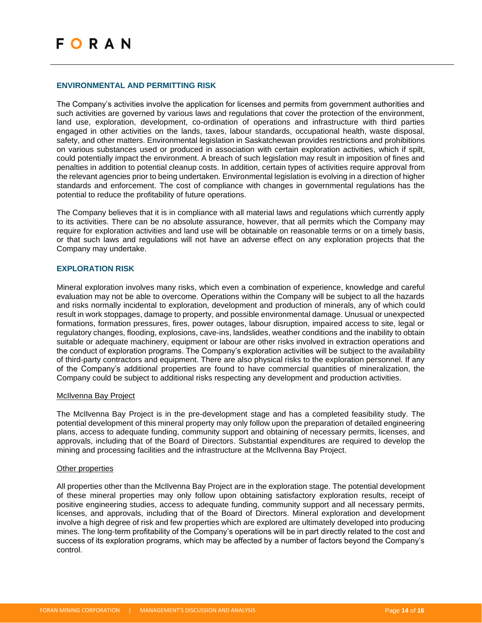#### <span id="page-13-0"></span>**ENVIRONMENTAL AND PERMITTING RISK**

The Company's activities involve the application for licenses and permits from government authorities and such activities are governed by various laws and regulations that cover the protection of the environment, land use, exploration, development, co-ordination of operations and infrastructure with third parties engaged in other activities on the lands, taxes, labour standards, occupational health, waste disposal, safety, and other matters. Environmental legislation in Saskatchewan provides restrictions and prohibitions on various substances used or produced in association with certain exploration activities, which if spilt, could potentially impact the environment. A breach of such legislation may result in imposition of fines and penalties in addition to potential cleanup costs. In addition, certain types of activities require approval from the relevant agencies prior to being undertaken. Environmental legislation is evolving in a direction of higher standards and enforcement. The cost of compliance with changes in governmental regulations has the potential to reduce the profitability of future operations.

The Company believes that it is in compliance with all material laws and regulations which currently apply to its activities. There can be no absolute assurance, however, that all permits which the Company may require for exploration activities and land use will be obtainable on reasonable terms or on a timely basis, or that such laws and regulations will not have an adverse effect on any exploration projects that the Company may undertake.

#### <span id="page-13-1"></span>**EXPLORATION RISK**

Mineral exploration involves many risks, which even a combination of experience, knowledge and careful evaluation may not be able to overcome. Operations within the Company will be subject to all the hazards and risks normally incidental to exploration, development and production of minerals, any of which could result in work stoppages, damage to property, and possible environmental damage. Unusual or unexpected formations, formation pressures, fires, power outages, labour disruption, impaired access to site, legal or regulatory changes, flooding, explosions, cave-ins, landslides, weather conditions and the inability to obtain suitable or adequate machinery, equipment or labour are other risks involved in extraction operations and the conduct of exploration programs. The Company's exploration activities will be subject to the availability of third-party contractors and equipment. There are also physical risks to the exploration personnel. If any of the Company's additional properties are found to have commercial quantities of mineralization, the Company could be subject to additional risks respecting any development and production activities.

#### McIlvenna Bay Project

The McIlvenna Bay Project is in the pre-development stage and has a completed feasibility study. The potential development of this mineral property may only follow upon the preparation of detailed engineering plans, access to adequate funding, community support and obtaining of necessary permits, licenses, and approvals, including that of the Board of Directors. Substantial expenditures are required to develop the mining and processing facilities and the infrastructure at the McIlvenna Bay Project.

#### Other properties

All properties other than the McIlvenna Bay Project are in the exploration stage. The potential development of these mineral properties may only follow upon obtaining satisfactory exploration results, receipt of positive engineering studies, access to adequate funding, community support and all necessary permits, licenses, and approvals, including that of the Board of Directors. Mineral exploration and development involve a high degree of risk and few properties which are explored are ultimately developed into producing mines. The long-term profitability of the Company's operations will be in part directly related to the cost and success of its exploration programs, which may be affected by a number of factors beyond the Company's control.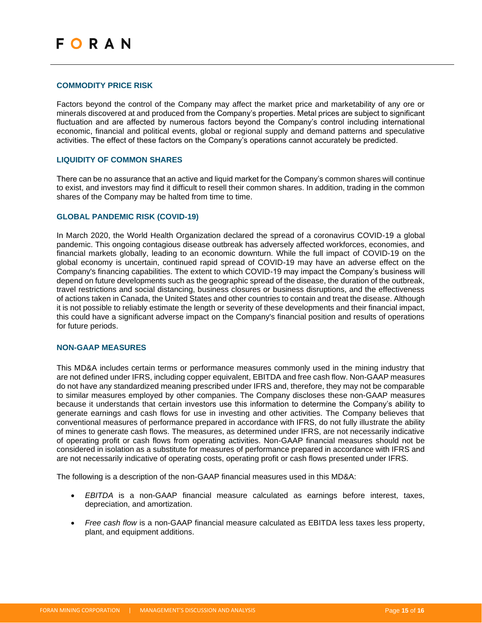#### <span id="page-14-0"></span>**COMMODITY PRICE RISK**

Factors beyond the control of the Company may affect the market price and marketability of any ore or minerals discovered at and produced from the Company's properties. Metal prices are subject to significant fluctuation and are affected by numerous factors beyond the Company's control including international economic, financial and political events, global or regional supply and demand patterns and speculative activities. The effect of these factors on the Company's operations cannot accurately be predicted.

#### <span id="page-14-1"></span>**LIQUIDITY OF COMMON SHARES**

There can be no assurance that an active and liquid market for the Company's common shares will continue to exist, and investors may find it difficult to resell their common shares. In addition, trading in the common shares of the Company may be halted from time to time.

## <span id="page-14-2"></span>**GLOBAL PANDEMIC RISK (COVID-19)**

In March 2020, the World Health Organization declared the spread of a coronavirus COVID-19 a global pandemic. This ongoing contagious disease outbreak has adversely affected workforces, economies, and financial markets globally, leading to an economic downturn. While the full impact of COVID-19 on the global economy is uncertain, continued rapid spread of COVID-19 may have an adverse effect on the Company's financing capabilities. The extent to which COVID-19 may impact the Company's business will depend on future developments such as the geographic spread of the disease, the duration of the outbreak, travel restrictions and social distancing, business closures or business disruptions, and the effectiveness of actions taken in Canada, the United States and other countries to contain and treat the disease. Although it is not possible to reliably estimate the length or severity of these developments and their financial impact, this could have a significant adverse impact on the Company's financial position and results of operations for future periods.

#### <span id="page-14-3"></span>**NON-GAAP MEASURES**

This MD&A includes certain terms or performance measures commonly used in the mining industry that are not defined under IFRS, including copper equivalent, EBITDA and free cash flow. Non-GAAP measures do not have any standardized meaning prescribed under IFRS and, therefore, they may not be comparable to similar measures employed by other companies. The Company discloses these non-GAAP measures because it understands that certain investors use this information to determine the Company's ability to generate earnings and cash flows for use in investing and other activities. The Company believes that conventional measures of performance prepared in accordance with IFRS, do not fully illustrate the ability of mines to generate cash flows. The measures, as determined under IFRS, are not necessarily indicative of operating profit or cash flows from operating activities. Non-GAAP financial measures should not be considered in isolation as a substitute for measures of performance prepared in accordance with IFRS and are not necessarily indicative of operating costs, operating profit or cash flows presented under IFRS.

The following is a description of the non-GAAP financial measures used in this MD&A:

- *EBITDA* is a non-GAAP financial measure calculated as earnings before interest, taxes, depreciation, and amortization.
- *Free cash flow* is a non-GAAP financial measure calculated as EBITDA less taxes less property, plant, and equipment additions.